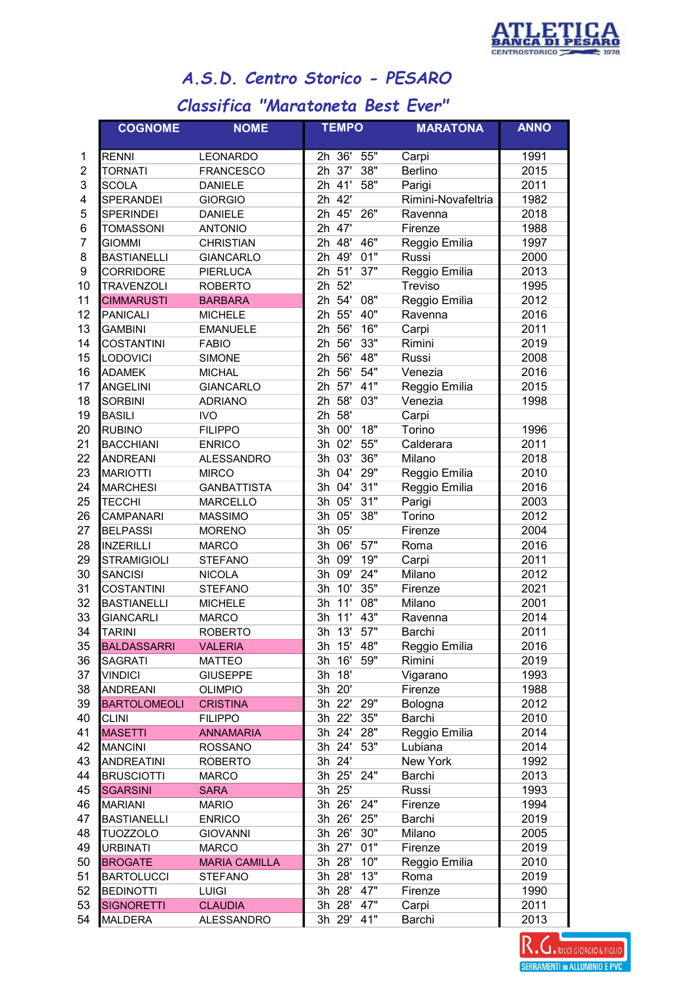

## A.S.D. Centro Storico - PESARO

## Classifica "Maratoneta Best Ever"

|                | <b>COGNOME</b>      | <b>NOME</b>          | <b>TEMPO</b>      | <b>MARATONA</b>    | <b>ANNO</b> |
|----------------|---------------------|----------------------|-------------------|--------------------|-------------|
| 1              | RENNI               | LEONARDO             | 55"<br>2h 36'     | Carpi              | 1991        |
| $\overline{2}$ | <b>TORNATI</b>      | <b>FRANCESCO</b>     | 37'<br>38"<br>2h  | Berlino            | 2015        |
| 3              | <b>SCOLA</b>        | <b>DANIELE</b>       | 41'<br>58"<br>2h  | Parigi             | 2011        |
| 4              | <b>SPERANDEI</b>    | <b>GIORGIO</b>       | 42'<br>2h         | Rimini-Novafeltria | 1982        |
| 5              | <b>SPERINDEI</b>    | <b>DANIELE</b>       | 2h 45'<br>26"     | Ravenna            | 2018        |
| 6              | <b>TOMASSONI</b>    | <b>ANTONIO</b>       | $2h$ 47'          | Firenze            | 1988        |
| 7              | <b>GIOMMI</b>       | <b>CHRISTIAN</b>     | 46"<br>2h 48'     | Reggio Emilia      | 1997        |
| 8              | <b>BASTIANELLI</b>  | <b>GIANCARLO</b>     | 2h $49'$<br>01"   | Russi              | 2000        |
| 9              | <b>CORRIDORE</b>    | <b>PIERLUCA</b>      | 51'<br>37"<br>2h  | Reggio Emilia      | 2013        |
| 10             | <b>TRAVENZOLI</b>   | <b>ROBERTO</b>       | 52'<br>2h         | Treviso            | 1995        |
| 11             | <b>CIMMARUSTI</b>   | <b>BARBARA</b>       | 54'<br>08"<br>2h  | Reggio Emilia      | 2012        |
| 12             | <b>PANICALI</b>     | <b>MICHELE</b>       | 55'<br>40"<br>2h  | Ravenna            | 2016        |
| 13             | <b>GAMBINI</b>      | <b>EMANUELE</b>      | 56'<br>16"<br>2h  | Carpi              | 2011        |
| 14             | <b>COSTANTINI</b>   | <b>FABIO</b>         | 56'<br>33"<br>2h  | Rimini             | 2019        |
| 15             | LODOVICI            | <b>SIMONE</b>        | 56'<br>48"<br>2h  | Russi              | 2008        |
| 16             | <b>ADAMEK</b>       | <b>MICHAL</b>        | 56'<br>54"<br>2h  | Venezia            | 2016        |
| 17             | <b>ANGELINI</b>     | <b>GIANCARLO</b>     | 57'<br>41"<br>2h  | Reggio Emilia      | 2015        |
| 18             | <b>SORBINI</b>      | <b>ADRIANO</b>       | 03"<br>2h<br>58'  | Venezia            | 1998        |
| 19             | <b>BASILI</b>       | <b>IVO</b>           | 58'<br>2h         | Carpi              |             |
| 20             | <b>RUBINO</b>       | <b>FILIPPO</b>       | 18"<br>00'<br>3h  | Torino             | 1996        |
| 21             | <b>BACCHIANI</b>    | <b>ENRICO</b>        | 02'<br>55"<br>3h  | Calderara          | 2011        |
| 22             | <b>ANDREANI</b>     | <b>ALESSANDRO</b>    | 03'<br>36"<br>3h  | Milano             | 2018        |
| 23             | <b>MARIOTTI</b>     | <b>MIRCO</b>         | 29"<br>04'<br>3h  | Reggio Emilia      | 2010        |
| 24             | <b>MARCHESI</b>     | <b>GANBATTISTA</b>   | 04'<br>31"<br>3h  | Reggio Emilia      | 2016        |
| 25             | <b>TECCHI</b>       | <b>MARCELLO</b>      | 05'<br>31"<br>3h  | Parigi             | 2003        |
| 26             | CAMPANARI           | <b>MASSIMO</b>       | 05'<br>38"<br>3h  | Torino             | 2012        |
| 27             | <b>BELPASSI</b>     | <b>MORENO</b>        | 05'<br>3h         | Firenze            | 2004        |
| 28             | <b>INZERILLI</b>    | <b>MARCO</b>         | 57"<br>06'<br>3h  | Roma               | 2016        |
| 29             | <b>STRAMIGIOLI</b>  | <b>STEFANO</b>       | 09'<br>19"<br>3h  | Carpi              | 2011        |
| 30             | <b>SANCISI</b>      | <b>NICOLA</b>        | 09'<br>24"<br>3h  | Milano             | 2012        |
| 31             | <b>COSTANTINI</b>   | <b>STEFANO</b>       | 35"<br>10'<br>3h  | Firenze            | 2021        |
| 32             | <b>BASTIANELLI</b>  | <b>MICHELE</b>       | 11'<br>08"<br>3h  | Milano             | 2001        |
| 33             | <b>GIANCARLI</b>    | <b>MARCO</b>         | 43"<br>11'<br>Зh  | Ravenna            | 2014        |
| 34             | <b>TARINI</b>       | <b>ROBERTO</b>       | 57"<br>3h<br>13'  | Barchi             | 2011        |
| 35             | <b>BALDASSARRI</b>  | <b>VALERIA</b>       | 3h 15' 48"        | Reggio Emilia      | 2016        |
| 36             | SAGRATI             | <b>MATTEO</b>        | 3h 16'<br>59"     | Rimini             | 2019        |
| 37             | <b>VINDICI</b>      | <b>GIUSEPPE</b>      | 3h 18'            | Vigarano           | 1993        |
| 38             | <b>ANDREANI</b>     | <b>OLIMPIO</b>       | 3h 20'            | Firenze            | 1988        |
| 39             | <b>BARTOLOMEOLI</b> | <b>CRISTINA</b>      | 3h 22' 29"        | Bologna            | 2012        |
| 40             | <b>CLINI</b>        | <b>FILIPPO</b>       | $3h$ $22'$<br>35" | Barchi             | 2010        |
| 41             | <b>MASETTI</b>      | <b>ANNAMARIA</b>     | $3h$ $24'$<br>28" | Reggio Emilia      | 2014        |
| 42             | <b>MANCINI</b>      | <b>ROSSANO</b>       | $3h$ $24'$<br>53" | Lubiana            | 2014        |
| 43             | <b>ANDREATINI</b>   | <b>ROBERTO</b>       | 3h 24'            | New York           | 1992        |
| 44             | <b>BRUSCIOTTI</b>   | <b>MARCO</b>         | $3h$ $25'$<br>24" | Barchi             | 2013        |
| 45             | <b>SGARSINI</b>     | <b>SARA</b>          | 3h 25'            | Russi              | 1993        |
| 46             | <b>MARIANI</b>      | <b>MARIO</b>         | 3h 26'<br>24"     | Firenze            | 1994        |
| 47             | <b>BASTIANELLI</b>  | <b>ENRICO</b>        | 3h 26'<br>25"     | Barchi             | 2019        |
| 48             | <b>TUOZZOLO</b>     | <b>GIOVANNI</b>      | 3h 26'<br>30"     | Milano             | 2005        |
| 49             | <b>URBINATI</b>     | <b>MARCO</b>         | 3h 27'<br>01"     | Firenze            | 2019        |
| 50             | <b>BROGATE</b>      | <b>MARIA CAMILLA</b> | 3h 28'<br>10"     | Reggio Emilia      | 2010        |
| 51             | <b>BARTOLUCCI</b>   | <b>STEFANO</b>       | 3h 28'<br>13"     | Roma               | 2019        |
| 52             | <b>BEDINOTTI</b>    | <b>LUIGI</b>         | 3h 28'<br>47"     | Firenze            | 1990        |
| 53             | SIGNORETTI          | <b>CLAUDIA</b>       | 3h 28'<br>47"     | Carpi              | 2011        |
| 54             | <b>MALDERA</b>      | <b>ALESSANDRO</b>    | 3h 29'<br>41"     | Barchi             | 2013        |

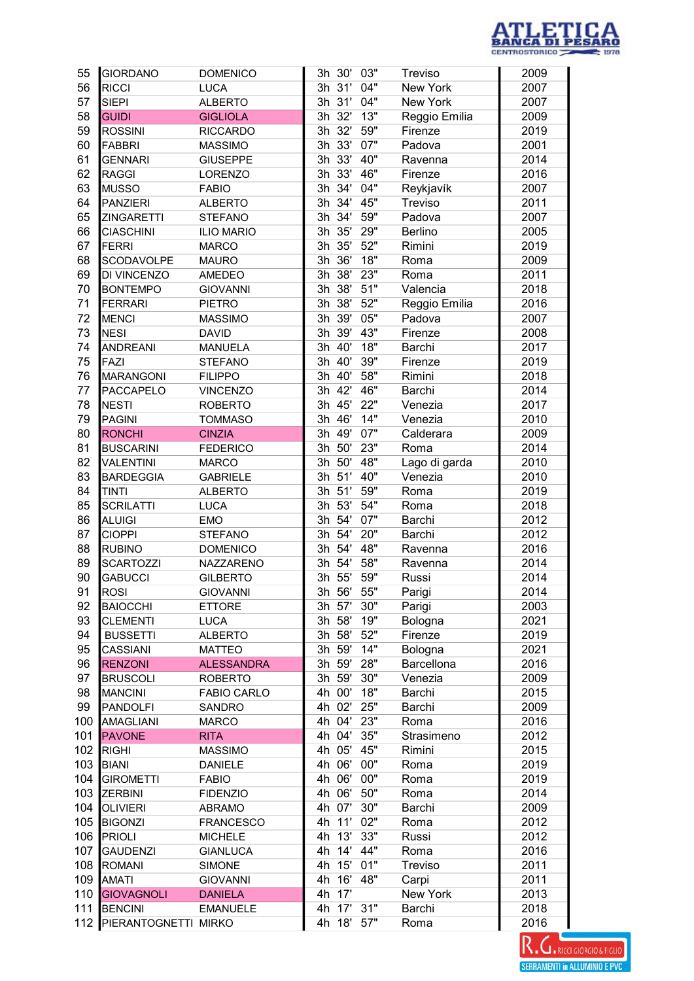

| 55  | <b>GIORDANO</b>          | <b>DOMENICO</b>    |        | 3h 30'     | 03" | Treviso       | 2009 |
|-----|--------------------------|--------------------|--------|------------|-----|---------------|------|
| 56  | <b>RICCI</b>             | <b>LUCA</b>        |        | 3h 31'     | 04" | New York      | 2007 |
| 57  | <b>SIEPI</b>             | <b>ALBERTO</b>     |        | 3h 31'     | 04" | New York      | 2007 |
| 58  | <b>GUIDI</b>             | <b>GIGLIOLA</b>    |        | 3h 32'     | 13" | Reggio Emilia | 2009 |
| 59  | <b>ROSSINI</b>           | <b>RICCARDO</b>    |        | 3h 32'     | 59" | Firenze       | 2019 |
| 60  | <b>FABBRI</b>            | <b>MASSIMO</b>     |        | 3h 33'     | 07" | Padova        | 2001 |
| 61  | <b>GENNARI</b>           | <b>GIUSEPPE</b>    |        | 3h 33'     | 40" | Ravenna       | 2014 |
| 62  | <b>RAGGI</b>             | LORENZO            | 3h 33' |            | 46" | Firenze       | 2016 |
| 63  | <b>MUSSO</b>             | <b>FABIO</b>       |        | 3h $34'$   | 04" | Reykjavík     | 2007 |
| 64  | <b>PANZIERI</b>          | <b>ALBERTO</b>     |        | 3h 34'     | 45" | Treviso       | 2011 |
| 65  | <b>ZINGARETTI</b>        | <b>STEFANO</b>     |        | 3h 34'     | 59" | Padova        | 2007 |
| 66  | <b>CIASCHINI</b>         | <b>ILIO MARIO</b>  |        | 3h 35'     | 29" | Berlino       | 2005 |
| 67  | <b>FERRI</b>             | <b>MARCO</b>       | 3h     | 35'        | 52" | Rimini        | 2019 |
| 68  | SCODAVOLPE               | <b>MAURO</b>       | 3h 36' |            | 18" | Roma          | 2009 |
| 69  | DI VINCENZO              | AMEDEO             | 3h     | 38'        | 23" | Roma          | 2011 |
| 70  | <b>BONTEMPO</b>          | <b>GIOVANNI</b>    |        | 3h 38'     | 51" | Valencia      | 2018 |
| 71  | <b>FERRARI</b>           | <b>PIETRO</b>      | 3h 38' |            | 52" | Reggio Emilia | 2016 |
| 72  | <b>MENCI</b>             | <b>MASSIMO</b>     | 3h 39' |            | 05" | Padova        | 2007 |
| 73  | <b>NESI</b>              | <b>DAVID</b>       |        | 3h 39'     | 43" | Firenze       | 2008 |
| 74  | <b>ANDREANI</b>          | <b>MANUELA</b>     |        | 3h 40'     | 18" | Barchi        | 2017 |
| 75  | FAZI                     | <b>STEFANO</b>     | 3h     | 40'        | 39" | Firenze       | 2019 |
| 76  | <b>MARANGONI</b>         | <b>FILIPPO</b>     | 3h     | 40'        | 58" | Rimini        | 2018 |
| 77  | PACCAPELO                | <b>VINCENZO</b>    | 3h     | 42'        | 46" | Barchi        | 2014 |
| 78  | <b>NESTI</b>             | <b>ROBERTO</b>     |        | 3h 45'     | 22" | Venezia       | 2017 |
| 79  | <b>PAGINI</b>            | <b>TOMMASO</b>     |        | 3h 46'     | 14" | Venezia       | 2010 |
| 80  | <b>RONCHI</b>            | <b>CINZIA</b>      |        | 3h 49'     | 07" |               | 2009 |
| 81  |                          |                    |        | 3h 50'     | 23" | Calderara     | 2014 |
|     | <b>BUSCARINI</b>         | <b>FEDERICO</b>    |        |            |     | Roma          |      |
| 82  | <b>VALENTINI</b>         | <b>MARCO</b>       |        | 3h 50'     | 48" | Lago di garda | 2010 |
| 83  | <b>BARDEGGIA</b>         | <b>GABRIELE</b>    |        | 3h 51'     | 40" | Venezia       | 2010 |
| 84  | <b>TINTI</b>             | <b>ALBERTO</b>     |        | 3h 51'     | 59" | Roma          | 2019 |
| 85  | <b>SCRILATTI</b>         | <b>LUCA</b>        | 3h 53' |            | 54" | Roma          | 2018 |
| 86  | <b>ALUIGI</b>            | <b>EMO</b>         |        | 3h 54'     | 07" | Barchi        | 2012 |
| 87  | <b>CIOPPI</b>            | <b>STEFANO</b>     |        | 3h 54'     | 20" | Barchi        | 2012 |
| 88  | <b>RUBINO</b>            | <b>DOMENICO</b>    |        | 3h 54'     | 48" | Ravenna       | 2016 |
| 89  | <b>SCARTOZZI</b>         | NAZZARENO          |        | 3h 54'     | 58" | Ravenna       | 2014 |
| 90  | <b>GABUCCI</b>           | <b>GILBERTO</b>    |        | 3h 55'     | 59" | Russi         | 2014 |
| 91  | <b>ROSI</b>              | <b>GIOVANNI</b>    |        | 3h 56'     | 55" | Parigi        | 2014 |
| 92  | <b>BAIOCCHI</b>          | <b>ETTORE</b>      |        | 3h 57'     | 30" | Parigi        | 2003 |
| 93  | <b>CLEMENTI</b>          | <b>LUCA</b>        |        | 3h 58'     | 19" | Bologna       | 2021 |
| 94  | <b>BUSSETTI</b>          | <b>ALBERTO</b>     |        | 3h 58'     | 52" | Firenze       | 2019 |
| 95  | <b>CASSIANI</b>          | <b>MATTEO</b>      |        | 3h 59'     | 14" | Bologna       | 2021 |
| 96  | <b>RENZONI</b>           | <b>ALESSANDRA</b>  |        | 3h 59'     | 28" | Barcellona    | 2016 |
| 97  | <b>BRUSCOLI</b>          | <b>ROBERTO</b>     |        | 3h 59'     | 30" | Venezia       | 2009 |
| 98  | <b>MANCINI</b>           | <b>FABIO CARLO</b> |        | 4h 00'     | 18" | Barchi        | 2015 |
| 99  | PANDOLFI                 | <b>SANDRO</b>      |        | 4h 02' 25" |     | Barchi        | 2009 |
| 100 | AMAGLIANI                | <b>MARCO</b>       |        | 4h 04' 23" |     | Roma          | 2016 |
| 101 | <b>PAVONE</b>            | <b>RITA</b>        |        | 4h 04' 35" |     | Strasimeno    | 2012 |
| 102 | <b>RIGHI</b>             | <b>MASSIMO</b>     |        | 4h 05' 45" |     | Rimini        | 2015 |
| 103 | BIANI                    | <b>DANIELE</b>     |        | 4h 06'     | 00" | Roma          | 2019 |
| 104 | <b>GIROMETTI</b>         | <b>FABIO</b>       |        | 4h 06'     | 00" | Roma          | 2019 |
| 103 | ZERBINI                  | <b>FIDENZIO</b>    |        | 4h 06'     | 50" | Roma          | 2014 |
| 104 | <b>OLIVIERI</b>          | ABRAMO             |        | 4h 07'     | 30" | Barchi        | 2009 |
| 105 | <b>BIGONZI</b>           | <b>FRANCESCO</b>   |        | 4h 11' 02" |     | Roma          | 2012 |
| 106 | PRIOLI                   | <b>MICHELE</b>     | 4h     | 13'        | 33" | Russi         | 2012 |
| 107 | <b>GAUDENZI</b>          | <b>GIANLUCA</b>    | 4h     | 14' 44"    |     | Roma          | 2016 |
| 108 | <b>ROMANI</b>            | <b>SIMONE</b>      | 4h     | 15' 01"    |     | Treviso       | 2011 |
| 109 | <b>AMATI</b>             | <b>GIOVANNI</b>    | 4h     | 16' 48"    |     | Carpi         | 2011 |
| 110 | <b>GIOVAGNOLI</b>        | <b>DANIELA</b>     | 4h     | 17'        |     | New York      | 2013 |
| 111 | <b>BENCINI</b>           | <b>EMANUELE</b>    |        | 4h 17' 31" |     | Barchi        | 2018 |
|     | 112 PIERANTOGNETTI MIRKO |                    |        | 4h 18'     | 57" | Roma          | 2016 |